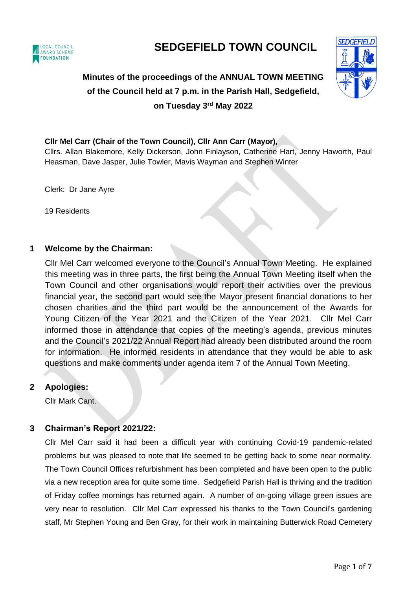

# **SEDGEFIELD TOWN COUNCIL**

# **Minutes of the proceedings of the ANNUAL TOWN MEETING of the Council held at 7 p.m. in the Parish Hall, Sedgefield, on Tuesday 3 rd May 2022**



#### **Cllr Mel Carr (Chair of the Town Council), Cllr Ann Carr (Mayor),**

Cllrs. Allan Blakemore, Kelly Dickerson, John Finlayson, Catherine Hart, Jenny Haworth, Paul Heasman, Dave Jasper, Julie Towler, Mavis Wayman and Stephen Winter

Clerk: Dr Jane Ayre

19 Residents

## **1 Welcome by the Chairman:**

Cllr Mel Carr welcomed everyone to the Council's Annual Town Meeting. He explained this meeting was in three parts, the first being the Annual Town Meeting itself when the Town Council and other organisations would report their activities over the previous financial year, the second part would see the Mayor present financial donations to her chosen charities and the third part would be the announcement of the Awards for Young Citizen of the Year 2021 and the Citizen of the Year 2021. Cllr Mel Carr informed those in attendance that copies of the meeting's agenda, previous minutes and the Council's 2021/22 Annual Report had already been distributed around the room for information. He informed residents in attendance that they would be able to ask questions and make comments under agenda item 7 of the Annual Town Meeting.

## **2 Apologies:**

Cllr Mark Cant.

# **3 Chairman's Report 2021/22:**

Cllr Mel Carr said it had been a difficult year with continuing Covid-19 pandemic-related problems but was pleased to note that life seemed to be getting back to some near normality. The Town Council Offices refurbishment has been completed and have been open to the public via a new reception area for quite some time. Sedgefield Parish Hall is thriving and the tradition of Friday coffee mornings has returned again. A number of on-going village green issues are very near to resolution. Cllr Mel Carr expressed his thanks to the Town Council's gardening staff, Mr Stephen Young and Ben Gray, for their work in maintaining Butterwick Road Cemetery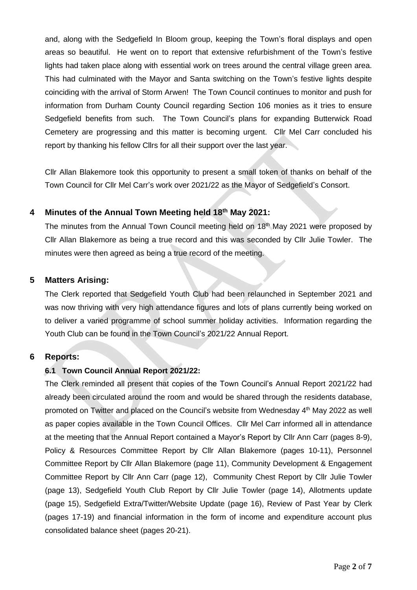and, along with the Sedgefield In Bloom group, keeping the Town's floral displays and open areas so beautiful. He went on to report that extensive refurbishment of the Town's festive lights had taken place along with essential work on trees around the central village green area. This had culminated with the Mayor and Santa switching on the Town's festive lights despite coinciding with the arrival of Storm Arwen! The Town Council continues to monitor and push for information from Durham County Council regarding Section 106 monies as it tries to ensure Sedgefield benefits from such. The Town Council's plans for expanding Butterwick Road Cemetery are progressing and this matter is becoming urgent. Cllr Mel Carr concluded his report by thanking his fellow Cllrs for all their support over the last year.

Cllr Allan Blakemore took this opportunity to present a small token of thanks on behalf of the Town Council for Cllr Mel Carr's work over 2021/22 as the Mayor of Sedgefield's Consort.

## **4 Minutes of the Annual Town Meeting held 18th May 2021:**

The minutes from the Annual Town Council meeting held on 18<sup>th</sup> May 2021 were proposed by Cllr Allan Blakemore as being a true record and this was seconded by Cllr Julie Towler. The minutes were then agreed as being a true record of the meeting.

## **5 Matters Arising:**

The Clerk reported that Sedgefield Youth Club had been relaunched in September 2021 and was now thriving with very high attendance figures and lots of plans currently being worked on to deliver a varied programme of school summer holiday activities. Information regarding the Youth Club can be found in the Town Council's 2021/22 Annual Report.

## **6 Reports:**

#### **6.1 Town Council Annual Report 2021/22:**

The Clerk reminded all present that copies of the Town Council's Annual Report 2021/22 had already been circulated around the room and would be shared through the residents database, promoted on Twitter and placed on the Council's website from Wednesday 4th May 2022 as well as paper copies available in the Town Council Offices. Cllr Mel Carr informed all in attendance at the meeting that the Annual Report contained a Mayor's Report by Cllr Ann Carr (pages 8-9), Policy & Resources Committee Report by Cllr Allan Blakemore (pages 10-11), Personnel Committee Report by Cllr Allan Blakemore (page 11), Community Development & Engagement Committee Report by Cllr Ann Carr (page 12), Community Chest Report by Cllr Julie Towler (page 13), Sedgefield Youth Club Report by Cllr Julie Towler (page 14), Allotments update (page 15), Sedgefield Extra/Twitter/Website Update (page 16), Review of Past Year by Clerk (pages 17-19) and financial information in the form of income and expenditure account plus consolidated balance sheet (pages 20-21).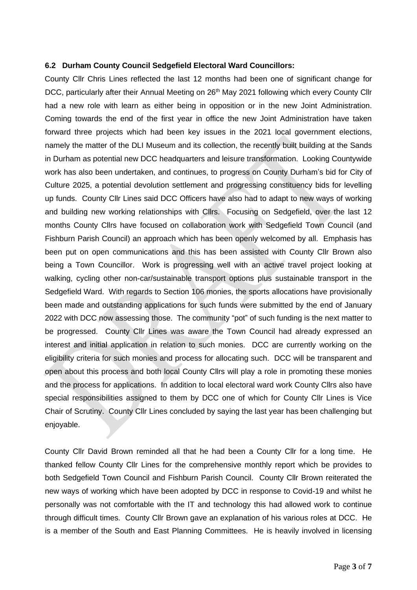#### **6.2 Durham County Council Sedgefield Electoral Ward Councillors:**

County Cllr Chris Lines reflected the last 12 months had been one of significant change for DCC, particularly after their Annual Meeting on 26<sup>th</sup> May 2021 following which every County Cllr had a new role with learn as either being in opposition or in the new Joint Administration. Coming towards the end of the first year in office the new Joint Administration have taken forward three projects which had been key issues in the 2021 local government elections, namely the matter of the DLI Museum and its collection, the recently built building at the Sands in Durham as potential new DCC headquarters and leisure transformation. Looking Countywide work has also been undertaken, and continues, to progress on County Durham's bid for City of Culture 2025, a potential devolution settlement and progressing constituency bids for levelling up funds. County Cllr Lines said DCC Officers have also had to adapt to new ways of working and building new working relationships with Cllrs. Focusing on Sedgefield, over the last 12 months County Cllrs have focused on collaboration work with Sedgefield Town Council (and Fishburn Parish Council) an approach which has been openly welcomed by all. Emphasis has been put on open communications and this has been assisted with County Cllr Brown also being a Town Councillor. Work is progressing well with an active travel project looking at walking, cycling other non-car/sustainable transport options plus sustainable transport in the Sedgefield Ward. With regards to Section 106 monies, the sports allocations have provisionally been made and outstanding applications for such funds were submitted by the end of January 2022 with DCC now assessing those. The community "pot" of such funding is the next matter to be progressed. County Cllr Lines was aware the Town Council had already expressed an interest and initial application in relation to such monies. DCC are currently working on the eligibility criteria for such monies and process for allocating such. DCC will be transparent and open about this process and both local County Cllrs will play a role in promoting these monies and the process for applications. In addition to local electoral ward work County Cllrs also have special responsibilities assigned to them by DCC one of which for County Cllr Lines is Vice Chair of Scrutiny. County Cllr Lines concluded by saying the last year has been challenging but enjoyable.

County Cllr David Brown reminded all that he had been a County Cllr for a long time. He thanked fellow County Cllr Lines for the comprehensive monthly report which be provides to both Sedgefield Town Council and Fishburn Parish Council. County Cllr Brown reiterated the new ways of working which have been adopted by DCC in response to Covid-19 and whilst he personally was not comfortable with the IT and technology this had allowed work to continue through difficult times. County Cllr Brown gave an explanation of his various roles at DCC. He is a member of the South and East Planning Committees. He is heavily involved in licensing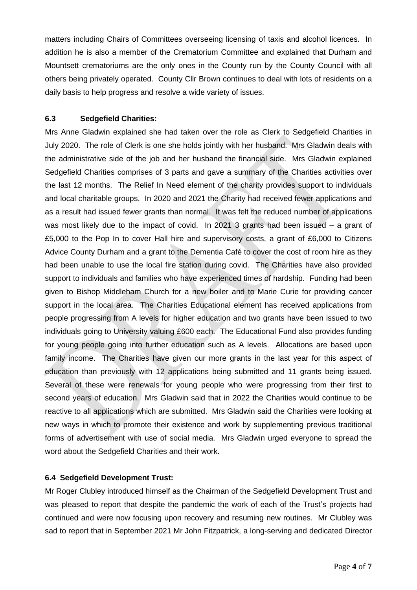matters including Chairs of Committees overseeing licensing of taxis and alcohol licences. In addition he is also a member of the Crematorium Committee and explained that Durham and Mountsett crematoriums are the only ones in the County run by the County Council with all others being privately operated. County Cllr Brown continues to deal with lots of residents on a daily basis to help progress and resolve a wide variety of issues.

### **6.3 Sedgefield Charities:**

Mrs Anne Gladwin explained she had taken over the role as Clerk to Sedgefield Charities in July 2020. The role of Clerk is one she holds jointly with her husband. Mrs Gladwin deals with the administrative side of the job and her husband the financial side. Mrs Gladwin explained Sedgefield Charities comprises of 3 parts and gave a summary of the Charities activities over the last 12 months. The Relief In Need element of the charity provides support to individuals and local charitable groups. In 2020 and 2021 the Charity had received fewer applications and as a result had issued fewer grants than normal. It was felt the reduced number of applications was most likely due to the impact of covid. In 2021 3 grants had been issued – a grant of £5,000 to the Pop In to cover Hall hire and supervisory costs, a grant of £6,000 to Citizens Advice County Durham and a grant to the Dementia Café to cover the cost of room hire as they had been unable to use the local fire station during covid. The Charities have also provided support to individuals and families who have experienced times of hardship. Funding had been given to Bishop Middleham Church for a new boiler and to Marie Curie for providing cancer support in the local area. The Charities Educational element has received applications from people progressing from A levels for higher education and two grants have been issued to two individuals going to University valuing £600 each. The Educational Fund also provides funding for young people going into further education such as A levels. Allocations are based upon family income. The Charities have given our more grants in the last year for this aspect of education than previously with 12 applications being submitted and 11 grants being issued. Several of these were renewals for young people who were progressing from their first to second years of education. Mrs Gladwin said that in 2022 the Charities would continue to be reactive to all applications which are submitted. Mrs Gladwin said the Charities were looking at new ways in which to promote their existence and work by supplementing previous traditional forms of advertisement with use of social media. Mrs Gladwin urged everyone to spread the word about the Sedgefield Charities and their work.

## **6.4 Sedgefield Development Trust:**

Mr Roger Clubley introduced himself as the Chairman of the Sedgefield Development Trust and was pleased to report that despite the pandemic the work of each of the Trust's projects had continued and were now focusing upon recovery and resuming new routines. Mr Clubley was sad to report that in September 2021 Mr John Fitzpatrick, a long-serving and dedicated Director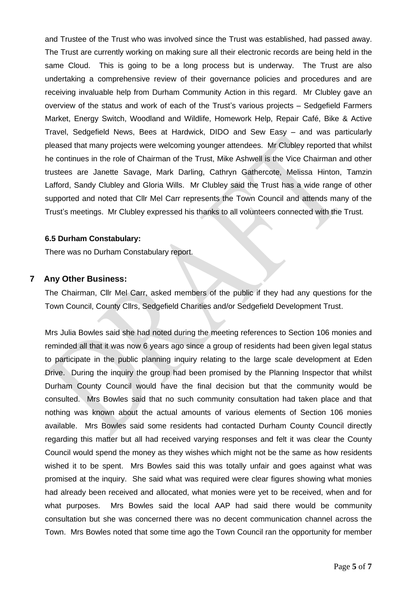and Trustee of the Trust who was involved since the Trust was established, had passed away. The Trust are currently working on making sure all their electronic records are being held in the same Cloud. This is going to be a long process but is underway. The Trust are also undertaking a comprehensive review of their governance policies and procedures and are receiving invaluable help from Durham Community Action in this regard. Mr Clubley gave an overview of the status and work of each of the Trust's various projects – Sedgefield Farmers Market, Energy Switch, Woodland and Wildlife, Homework Help, Repair Café, Bike & Active Travel, Sedgefield News, Bees at Hardwick, DIDO and Sew Easy – and was particularly pleased that many projects were welcoming younger attendees. Mr Clubley reported that whilst he continues in the role of Chairman of the Trust, Mike Ashwell is the Vice Chairman and other trustees are Janette Savage, Mark Darling, Cathryn Gathercote, Melissa Hinton, Tamzin Lafford, Sandy Clubley and Gloria Wills. Mr Clubley said the Trust has a wide range of other supported and noted that Cllr Mel Carr represents the Town Council and attends many of the Trust's meetings. Mr Clubley expressed his thanks to all volunteers connected with the Trust.

#### **6.5 Durham Constabulary:**

There was no Durham Constabulary report.

#### **7 Any Other Business:**

The Chairman, Cllr Mel Carr, asked members of the public if they had any questions for the Town Council, County Cllrs, Sedgefield Charities and/or Sedgefield Development Trust.

Mrs Julia Bowles said she had noted during the meeting references to Section 106 monies and reminded all that it was now 6 years ago since a group of residents had been given legal status to participate in the public planning inquiry relating to the large scale development at Eden Drive. During the inquiry the group had been promised by the Planning Inspector that whilst Durham County Council would have the final decision but that the community would be consulted. Mrs Bowles said that no such community consultation had taken place and that nothing was known about the actual amounts of various elements of Section 106 monies available. Mrs Bowles said some residents had contacted Durham County Council directly regarding this matter but all had received varying responses and felt it was clear the County Council would spend the money as they wishes which might not be the same as how residents wished it to be spent. Mrs Bowles said this was totally unfair and goes against what was promised at the inquiry. She said what was required were clear figures showing what monies had already been received and allocated, what monies were yet to be received, when and for what purposes. Mrs Bowles said the local AAP had said there would be community consultation but she was concerned there was no decent communication channel across the Town. Mrs Bowles noted that some time ago the Town Council ran the opportunity for member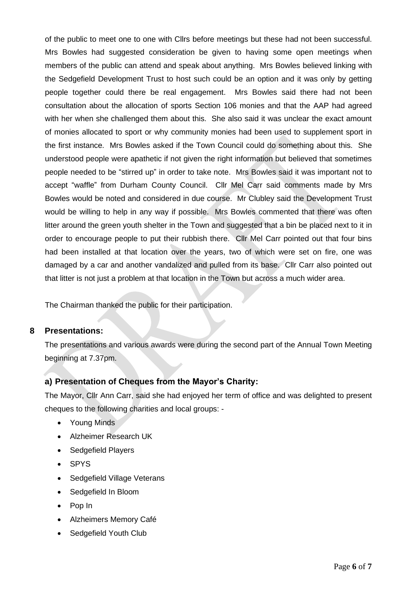of the public to meet one to one with Cllrs before meetings but these had not been successful. Mrs Bowles had suggested consideration be given to having some open meetings when members of the public can attend and speak about anything. Mrs Bowles believed linking with the Sedgefield Development Trust to host such could be an option and it was only by getting people together could there be real engagement. Mrs Bowles said there had not been consultation about the allocation of sports Section 106 monies and that the AAP had agreed with her when she challenged them about this. She also said it was unclear the exact amount of monies allocated to sport or why community monies had been used to supplement sport in the first instance. Mrs Bowles asked if the Town Council could do something about this. She understood people were apathetic if not given the right information but believed that sometimes people needed to be "stirred up" in order to take note. Mrs Bowles said it was important not to accept "waffle" from Durham County Council. Cllr Mel Carr said comments made by Mrs Bowles would be noted and considered in due course. Mr Clubley said the Development Trust would be willing to help in any way if possible. Mrs Bowles commented that there was often litter around the green youth shelter in the Town and suggested that a bin be placed next to it in order to encourage people to put their rubbish there. Cllr Mel Carr pointed out that four bins had been installed at that location over the years, two of which were set on fire, one was damaged by a car and another vandalized and pulled from its base. Cllr Carr also pointed out that litter is not just a problem at that location in the Town but across a much wider area.

The Chairman thanked the public for their participation.

## **8 Presentations:**

The presentations and various awards were during the second part of the Annual Town Meeting beginning at 7.37pm.

# **a) Presentation of Cheques from the Mayor's Charity:**

The Mayor, Cllr Ann Carr, said she had enjoyed her term of office and was delighted to present cheques to the following charities and local groups: -

- Young Minds
- Alzheimer Research UK
- Sedgefield Players
- SPYS
- Sedgefield Village Veterans
- Sedgefield In Bloom
- Pop In
- Alzheimers Memory Café
- Sedgefield Youth Club